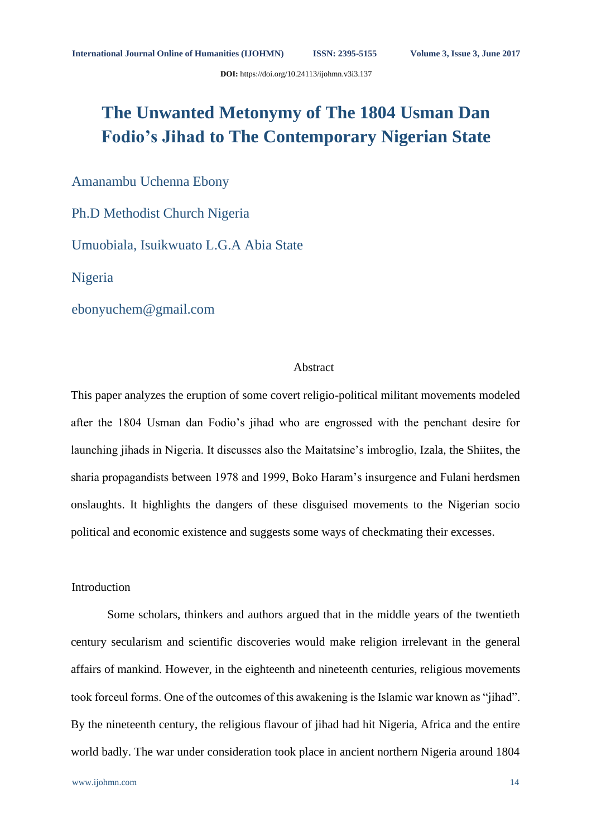**DOI:** https://doi.org/10.24113/ijohmn.v3i3.137

# **The Unwanted Metonymy of The 1804 Usman Dan Fodio's Jihad to The Contemporary Nigerian State**

Amanambu Uchenna Ebony

Ph.D Methodist Church Nigeria

Umuobiala, Isuikwuato L.G.A Abia State

Nigeria

ebonyuchem@gmail.com

### Abstract

This paper analyzes the eruption of some covert religio-political militant movements modeled after the 1804 Usman dan Fodio's jihad who are engrossed with the penchant desire for launching jihads in Nigeria. It discusses also the Maitatsine's imbroglio, Izala, the Shiites, the sharia propagandists between 1978 and 1999, Boko Haram's insurgence and Fulani herdsmen onslaughts. It highlights the dangers of these disguised movements to the Nigerian socio political and economic existence and suggests some ways of checkmating their excesses.

# Introduction

Some scholars, thinkers and authors argued that in the middle years of the twentieth century secularism and scientific discoveries would make religion irrelevant in the general affairs of mankind. However, in the eighteenth and nineteenth centuries, religious movements took forceul forms. One of the outcomes of this awakening is the Islamic war known as "jihad". By the nineteenth century, the religious flavour of jihad had hit Nigeria, Africa and the entire world badly. The war under consideration took place in ancient northern Nigeria around 1804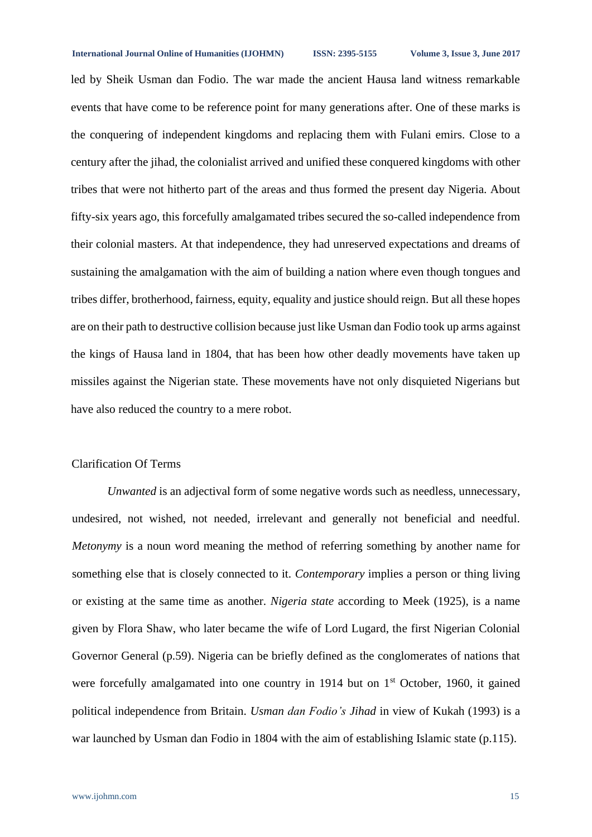#### **International Journal Online of Humanities (IJOHMN) ISSN: 2395-5155 Volume 3, Issue 3, June 2017**

led by Sheik Usman dan Fodio. The war made the ancient Hausa land witness remarkable events that have come to be reference point for many generations after. One of these marks is the conquering of independent kingdoms and replacing them with Fulani emirs. Close to a century after the jihad, the colonialist arrived and unified these conquered kingdoms with other tribes that were not hitherto part of the areas and thus formed the present day Nigeria. About fifty-six years ago, this forcefully amalgamated tribes secured the so-called independence from their colonial masters. At that independence, they had unreserved expectations and dreams of sustaining the amalgamation with the aim of building a nation where even though tongues and tribes differ, brotherhood, fairness, equity, equality and justice should reign. But all these hopes are on their path to destructive collision because just like Usman dan Fodio took up arms against the kings of Hausa land in 1804, that has been how other deadly movements have taken up missiles against the Nigerian state. These movements have not only disquieted Nigerians but have also reduced the country to a mere robot.

# Clarification Of Terms

*Unwanted* is an adjectival form of some negative words such as needless, unnecessary, undesired, not wished, not needed, irrelevant and generally not beneficial and needful. *Metonymy* is a noun word meaning the method of referring something by another name for something else that is closely connected to it. *Contemporary* implies a person or thing living or existing at the same time as another. *Nigeria state* according to Meek (1925), is a name given by Flora Shaw, who later became the wife of Lord Lugard, the first Nigerian Colonial Governor General (p.59). Nigeria can be briefly defined as the conglomerates of nations that were forcefully amalgamated into one country in 1914 but on  $1<sup>st</sup>$  October, 1960, it gained political independence from Britain. *Usman dan Fodio's Jihad* in view of Kukah (1993) is a war launched by Usman dan Fodio in 1804 with the aim of establishing Islamic state (p.115).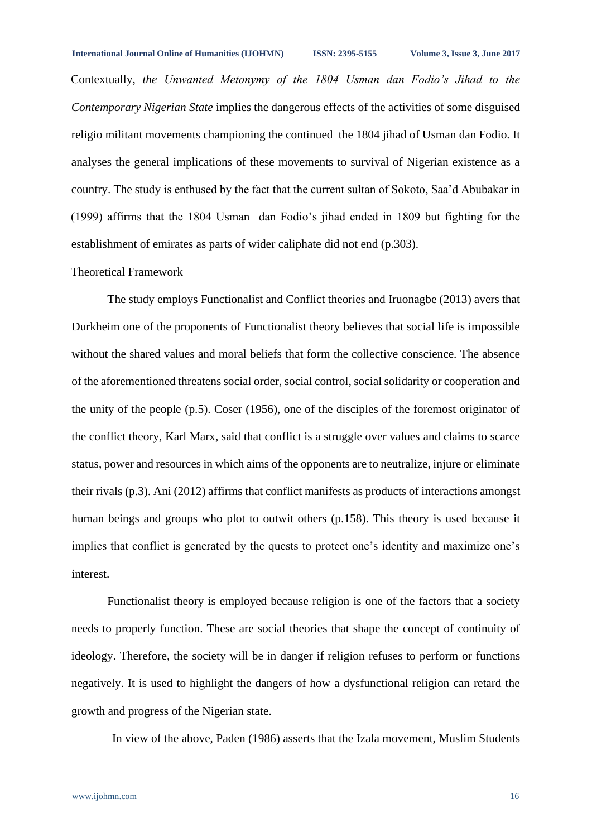Contextually, *the Unwanted Metonymy of the 1804 Usman dan Fodio's Jihad to the Contemporary Nigerian State* implies the dangerous effects of the activities of some disguised religio militant movements championing the continued the 1804 jihad of Usman dan Fodio. It analyses the general implications of these movements to survival of Nigerian existence as a country. The study is enthused by the fact that the current sultan of Sokoto, Saa'd Abubakar in (1999) affirms that the 1804 Usman dan Fodio's jihad ended in 1809 but fighting for the establishment of emirates as parts of wider caliphate did not end (p.303).

## Theoretical Framework

The study employs Functionalist and Conflict theories and Iruonagbe (2013) avers that Durkheim one of the proponents of Functionalist theory believes that social life is impossible without the shared values and moral beliefs that form the collective conscience. The absence of the aforementioned threatens social order, social control, social solidarity or cooperation and the unity of the people (p.5). Coser (1956), one of the disciples of the foremost originator of the conflict theory, Karl Marx, said that conflict is a struggle over values and claims to scarce status, power and resources in which aims of the opponents are to neutralize, injure or eliminate their rivals (p.3). Ani (2012) affirms that conflict manifests as products of interactions amongst human beings and groups who plot to outwit others (p.158). This theory is used because it implies that conflict is generated by the quests to protect one's identity and maximize one's interest.

Functionalist theory is employed because religion is one of the factors that a society needs to properly function. These are social theories that shape the concept of continuity of ideology. Therefore, the society will be in danger if religion refuses to perform or functions negatively. It is used to highlight the dangers of how a dysfunctional religion can retard the growth and progress of the Nigerian state.

In view of the above, Paden (1986) asserts that the Izala movement, Muslim Students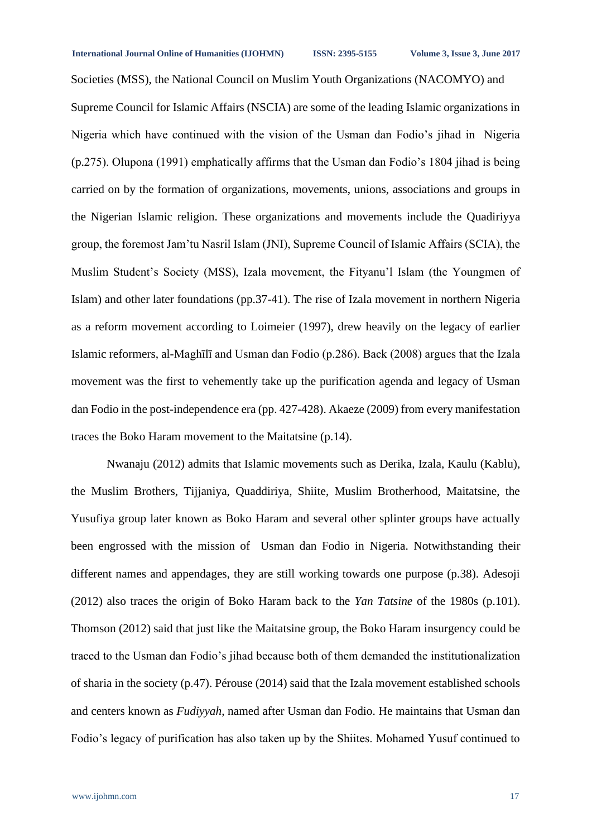Societies (MSS), the National Council on Muslim Youth Organizations (NACOMYO) and Supreme Council for Islamic Affairs (NSCIA) are some of the leading Islamic organizations in Nigeria which have continued with the vision of the Usman dan Fodio's jihad in Nigeria (p.275). Olupona (1991) emphatically affirms that the Usman dan Fodio's 1804 jihad is being carried on by the formation of organizations, movements, unions, associations and groups in the Nigerian Islamic religion. These organizations and movements include the Quadiriyya group, the foremost Jam'tu Nasril Islam (JNI), Supreme Council of Islamic Affairs (SCIA), the Muslim Student's Society (MSS), Izala movement, the Fityanu'l Islam (the Youngmen of Islam) and other later foundations (pp.37-41). The rise of Izala movement in northern Nigeria as a reform movement according to Loimeier (1997), drew heavily on the legacy of earlier Islamic reformers, al-Maghīlī and Usman dan Fodio (p.286). Back (2008) argues that the Izala movement was the first to vehemently take up the purification agenda and legacy of Usman dan Fodio in the post-independence era (pp. 427-428). Akaeze (2009) from every manifestation traces the Boko Haram movement to the Maitatsine (p.14).

Nwanaju (2012) admits that Islamic movements such as Derika, Izala, Kaulu (Kablu), the Muslim Brothers, Tijjaniya, Quaddiriya, Shiite, Muslim Brotherhood, Maitatsine, the Yusufiya group later known as Boko Haram and several other splinter groups have actually been engrossed with the mission of Usman dan Fodio in Nigeria. Notwithstanding their different names and appendages, they are still working towards one purpose (p.38). Adesoji (2012) also traces the origin of Boko Haram back to the *Yan Tatsine* of the 1980s (p.101). Thomson (2012) said that just like the Maitatsine group, the Boko Haram insurgency could be traced to the Usman dan Fodio's jihad because both of them demanded the institutionalization of sharia in the society (p.47). Pérouse (2014) said that the Izala movement established schools and centers known as *Fudiyyah*, named after Usman dan Fodio. He maintains that Usman dan Fodio's legacy of purification has also taken up by the Shiites. Mohamed Yusuf continued to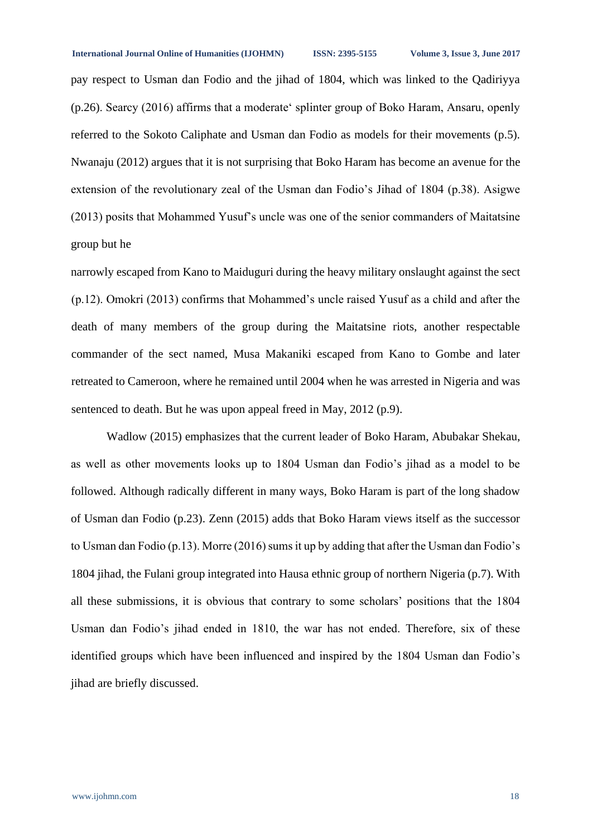pay respect to Usman dan Fodio and the jihad of 1804, which was linked to the Qadiriyya (p.26). Searcy (2016) affirms that a moderate' splinter group of Boko Haram, Ansaru, openly referred to the Sokoto Caliphate and Usman dan Fodio as models for their movements (p.5). Nwanaju (2012) argues that it is not surprising that Boko Haram has become an avenue for the extension of the revolutionary zeal of the Usman dan Fodio's Jihad of 1804 (p.38). Asigwe (2013) posits that Mohammed Yusuf's uncle was one of the senior commanders of Maitatsine group but he

narrowly escaped from Kano to Maiduguri during the heavy military onslaught against the sect (p.12). Omokri (2013) confirms that Mohammed's uncle raised Yusuf as a child and after the death of many members of the group during the Maitatsine riots, another respectable commander of the sect named, Musa Makaniki escaped from Kano to Gombe and later retreated to Cameroon, where he remained until 2004 when he was arrested in Nigeria and was sentenced to death. But he was upon appeal freed in May, 2012 (p.9).

Wadlow (2015) emphasizes that the current leader of Boko Haram, Abubakar Shekau, as well as other movements looks up to 1804 Usman dan Fodio's jihad as a model to be followed. Although radically different in many ways, Boko Haram is part of the long shadow of Usman dan Fodio (p.23). Zenn (2015) adds that Boko Haram views itself as the successor to Usman dan Fodio (p.13). Morre (2016) sums it up by adding that after the Usman dan Fodio's 1804 jihad, the Fulani group integrated into Hausa ethnic group of northern Nigeria (p.7). With all these submissions, it is obvious that contrary to some scholars' positions that the 1804 Usman dan Fodio's jihad ended in 1810, the war has not ended. Therefore, six of these identified groups which have been influenced and inspired by the 1804 Usman dan Fodio's jihad are briefly discussed.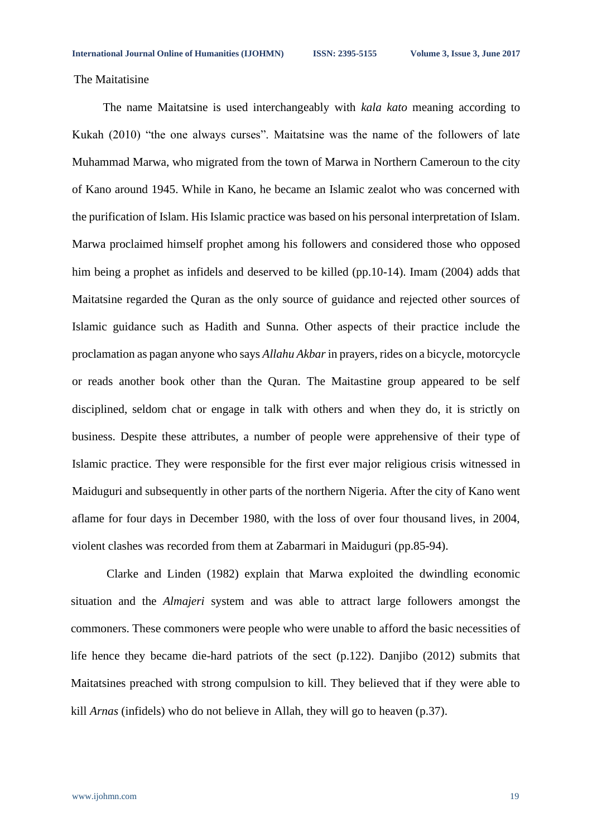The Maitatisine

The name Maitatsine is used interchangeably with *kala kato* meaning according to Kukah (2010) "the one always curses". Maitatsine was the name of the followers of late Muhammad Marwa, who migrated from the town of Marwa in Northern Cameroun to the city of Kano around 1945. While in Kano, he became an Islamic zealot who was concerned with the purification of Islam. His Islamic practice was based on his personal interpretation of Islam. Marwa proclaimed himself prophet among his followers and considered those who opposed him being a prophet as infidels and deserved to be killed (pp.10-14). Imam (2004) adds that Maitatsine regarded the Quran as the only source of guidance and rejected other sources of Islamic guidance such as Hadith and Sunna. Other aspects of their practice include the proclamation as pagan anyone who says *Allahu Akbar*in prayers, rides on a bicycle, motorcycle or reads another book other than the Quran. The Maitastine group appeared to be self disciplined, seldom chat or engage in talk with others and when they do, it is strictly on business. Despite these attributes, a number of people were apprehensive of their type of Islamic practice. They were responsible for the first ever major religious crisis witnessed in Maiduguri and subsequently in other parts of the northern Nigeria. After the city of Kano went aflame for four days in December 1980, with the loss of over four thousand lives, in 2004, violent clashes was recorded from them at Zabarmari in Maiduguri (pp.85-94).

Clarke and Linden (1982) explain that Marwa exploited the dwindling economic situation and the *Almajeri* system and was able to attract large followers amongst the commoners. These commoners were people who were unable to afford the basic necessities of life hence they became die-hard patriots of the sect (p.122). Danjibo (2012) submits that Maitatsines preached with strong compulsion to kill. They believed that if they were able to kill *Arnas* (infidels) who do not believe in Allah, they will go to heaven (p.37).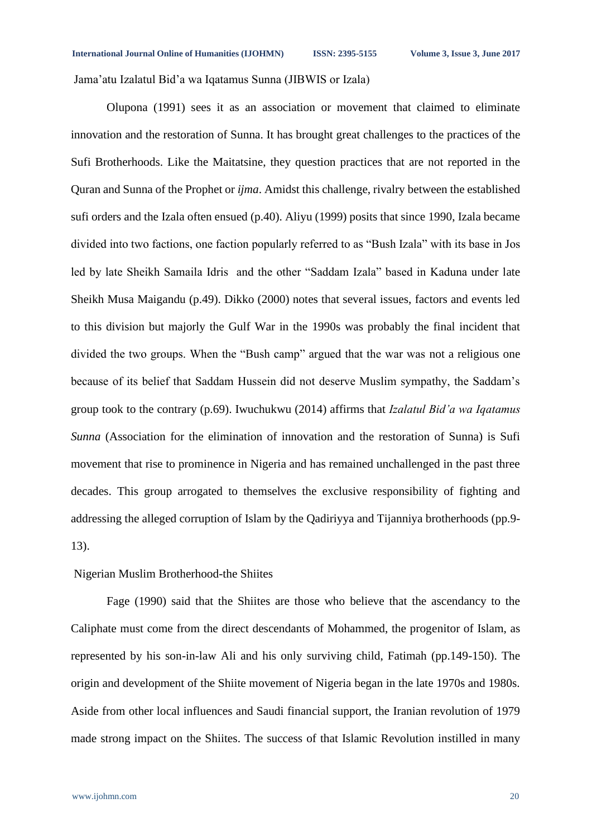Jama'atu Izalatul Bid'a wa Iqatamus Sunna (JIBWIS or Izala)

Olupona (1991) sees it as an association or movement that claimed to eliminate innovation and the restoration of Sunna. It has brought great challenges to the practices of the Sufi Brotherhoods. Like the Maitatsine, they question practices that are not reported in the Quran and Sunna of the Prophet or *ijma*. Amidst this challenge, rivalry between the established sufi orders and the Izala often ensued (p.40). Aliyu (1999) posits that since 1990, Izala became divided into two factions, one faction popularly referred to as "Bush Izala" with its base in Jos led by late Sheikh Samaila Idris and the other "Saddam Izala" based in Kaduna under late Sheikh Musa Maigandu (p.49). Dikko (2000) notes that several issues, factors and events led to this division but majorly the Gulf War in the 1990s was probably the final incident that divided the two groups. When the "Bush camp" argued that the war was not a religious one because of its belief that Saddam Hussein did not deserve Muslim sympathy, the Saddam's group took to the contrary (p.69). Iwuchukwu (2014) affirms that *Izalatul Bid'a wa Iqatamus Sunna* (Association for the elimination of innovation and the restoration of Sunna) is Sufi movement that rise to prominence in Nigeria and has remained unchallenged in the past three decades. This group arrogated to themselves the exclusive responsibility of fighting and addressing the alleged corruption of Islam by the Qadiriyya and Tijanniya brotherhoods (pp.9- 13).

#### Nigerian Muslim Brotherhood-the Shiites

Fage (1990) said that the Shiites are those who believe that the ascendancy to the Caliphate must come from the direct descendants of Mohammed, the progenitor of Islam, as represented by his son-in-law Ali and his only surviving child, Fatimah (pp.149-150). The origin and development of the Shiite movement of Nigeria began in the late 1970s and 1980s. Aside from other local influences and Saudi financial support, the Iranian revolution of 1979 made strong impact on the Shiites. The success of that Islamic Revolution instilled in many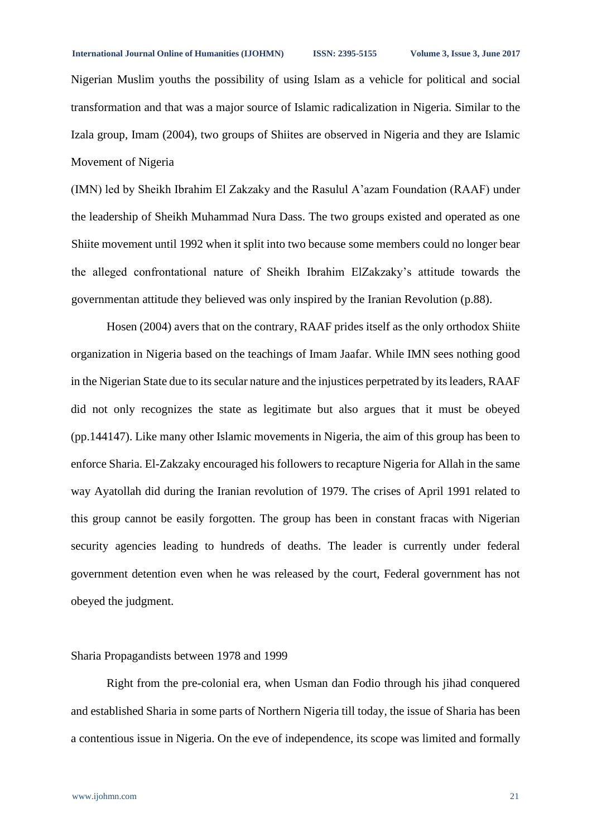Nigerian Muslim youths the possibility of using Islam as a vehicle for political and social transformation and that was a major source of Islamic radicalization in Nigeria. Similar to the Izala group, Imam (2004), two groups of Shiites are observed in Nigeria and they are Islamic Movement of Nigeria

(IMN) led by Sheikh Ibrahim El Zakzaky and the Rasulul A'azam Foundation (RAAF) under the leadership of Sheikh Muhammad Nura Dass. The two groups existed and operated as one Shiite movement until 1992 when it split into two because some members could no longer bear the alleged confrontational nature of Sheikh Ibrahim ElZakzaky's attitude towards the governmentan attitude they believed was only inspired by the Iranian Revolution (p.88).

Hosen (2004) avers that on the contrary, RAAF prides itself as the only orthodox Shiite organization in Nigeria based on the teachings of Imam Jaafar. While IMN sees nothing good in the Nigerian State due to its secular nature and the injustices perpetrated by its leaders, RAAF did not only recognizes the state as legitimate but also argues that it must be obeyed (pp.144147). Like many other Islamic movements in Nigeria, the aim of this group has been to enforce Sharia. El-Zakzaky encouraged his followers to recapture Nigeria for Allah in the same way Ayatollah did during the Iranian revolution of 1979. The crises of April 1991 related to this group cannot be easily forgotten. The group has been in constant fracas with Nigerian security agencies leading to hundreds of deaths. The leader is currently under federal government detention even when he was released by the court, Federal government has not obeyed the judgment.

### Sharia Propagandists between 1978 and 1999

Right from the pre-colonial era, when Usman dan Fodio through his jihad conquered and established Sharia in some parts of Northern Nigeria till today, the issue of Sharia has been a contentious issue in Nigeria. On the eve of independence, its scope was limited and formally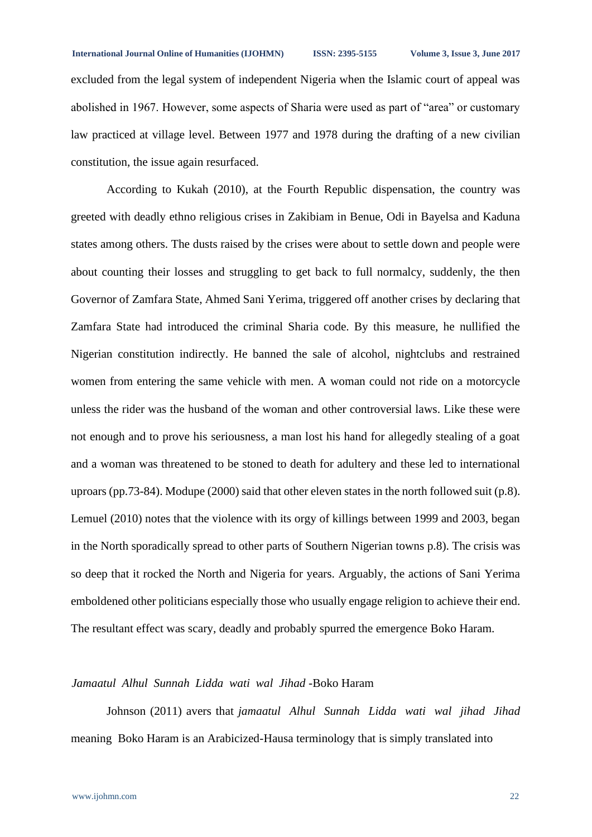excluded from the legal system of independent Nigeria when the Islamic court of appeal was abolished in 1967. However, some aspects of Sharia were used as part of "area" or customary law practiced at village level. Between 1977 and 1978 during the drafting of a new civilian constitution, the issue again resurfaced.

According to Kukah (2010), at the Fourth Republic dispensation, the country was greeted with deadly ethno religious crises in Zakibiam in Benue, Odi in Bayelsa and Kaduna states among others. The dusts raised by the crises were about to settle down and people were about counting their losses and struggling to get back to full normalcy, suddenly, the then Governor of Zamfara State, Ahmed Sani Yerima, triggered off another crises by declaring that Zamfara State had introduced the criminal Sharia code. By this measure, he nullified the Nigerian constitution indirectly. He banned the sale of alcohol, nightclubs and restrained women from entering the same vehicle with men. A woman could not ride on a motorcycle unless the rider was the husband of the woman and other controversial laws. Like these were not enough and to prove his seriousness, a man lost his hand for allegedly stealing of a goat and a woman was threatened to be stoned to death for adultery and these led to international uproars (pp.73-84). Modupe (2000) said that other eleven states in the north followed suit (p.8). Lemuel (2010) notes that the violence with its orgy of killings between 1999 and 2003, began in the North sporadically spread to other parts of Southern Nigerian towns p.8). The crisis was so deep that it rocked the North and Nigeria for years. Arguably, the actions of Sani Yerima emboldened other politicians especially those who usually engage religion to achieve their end. The resultant effect was scary, deadly and probably spurred the emergence Boko Haram.

# *Jamaatul Alhul Sunnah Lidda wati wal Jihad* -Boko Haram

Johnson (2011) avers that *jamaatul Alhul Sunnah Lidda wati wal jihad Jihad*  meaning Boko Haram is an Arabicized-Hausa terminology that is simply translated into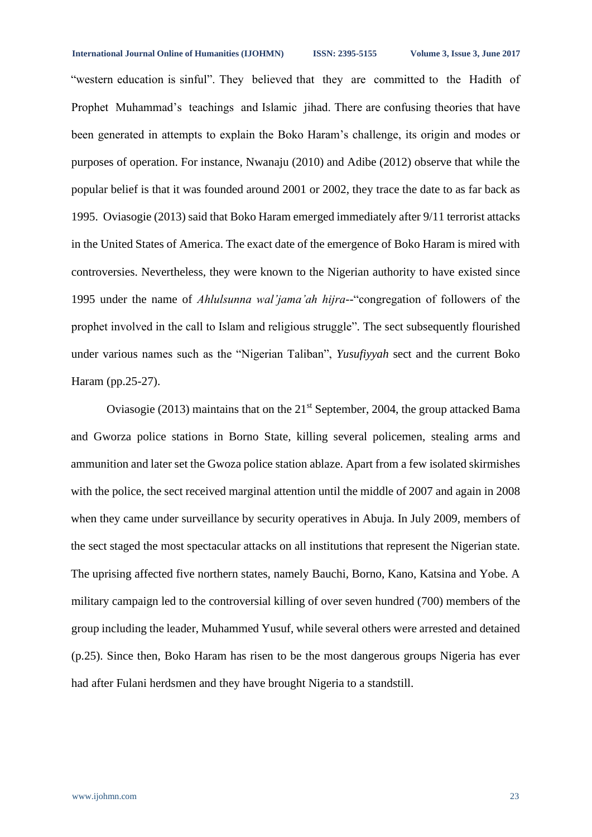#### **International Journal Online of Humanities (IJOHMN) ISSN: 2395-5155 Volume 3, Issue 3, June 2017**

"western education is sinful". They believed that they are committed to the Hadith of Prophet Muhammad's teachings and Islamic jihad. There are confusing theories that have been generated in attempts to explain the Boko Haram's challenge, its origin and modes or purposes of operation. For instance, Nwanaju (2010) and Adibe (2012) observe that while the popular belief is that it was founded around 2001 or 2002, they trace the date to as far back as 1995. Oviasogie (2013) said that Boko Haram emerged immediately after 9/11 terrorist attacks in the United States of America. The exact date of the emergence of Boko Haram is mired with controversies. Nevertheless, they were known to the Nigerian authority to have existed since 1995 under the name of *Ahlulsunna wal'jama'ah hijra-*-"congregation of followers of the prophet involved in the call to Islam and religious struggle"*.* The sect subsequently flourished under various names such as the "Nigerian Taliban", *Yusufiyyah* sect and the current Boko Haram (pp.25-27).

Oviasogie (2013) maintains that on the  $21<sup>st</sup>$  September, 2004, the group attacked Bama and Gworza police stations in Borno State, killing several policemen, stealing arms and ammunition and later set the Gwoza police station ablaze. Apart from a few isolated skirmishes with the police, the sect received marginal attention until the middle of 2007 and again in 2008 when they came under surveillance by security operatives in Abuja. In July 2009, members of the sect staged the most spectacular attacks on all institutions that represent the Nigerian state. The uprising affected five northern states, namely Bauchi, Borno, Kano, Katsina and Yobe. A military campaign led to the controversial killing of over seven hundred (700) members of the group including the leader, Muhammed Yusuf, while several others were arrested and detained (p.25). Since then, Boko Haram has risen to be the most dangerous groups Nigeria has ever had after Fulani herdsmen and they have brought Nigeria to a standstill.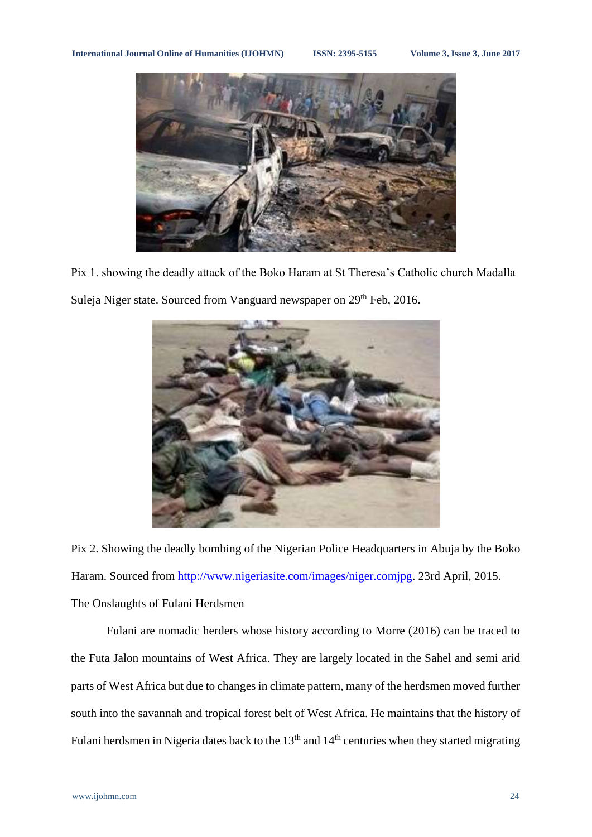

Pix 1. showing the deadly attack of the Boko Haram at St Theresa's Catholic church Madalla Suleja Niger state. Sourced from Vanguard newspaper on 29<sup>th</sup> Feb, 2016.



Pix 2. Showing the deadly bombing of the Nigerian Police Headquarters in Abuja by the Boko Haram. Sourced from [http://www.nigeriasite.com/images/niger.comjpg.](http://www.nigeriasite.com/images/niger.comjpg) 23rd April, 2015. The Onslaughts of Fulani Herdsmen

Fulani are nomadic herders whose history according to Morre (2016) can be traced to the Futa Jalon mountains of West Africa. They are largely located in the Sahel and semi arid parts of West Africa but due to changes in climate pattern, many of the herdsmen moved further south into the savannah and tropical forest belt of West Africa. He maintains that the history of Fulani herdsmen in Nigeria dates back to the 13<sup>th</sup> and 14<sup>th</sup> centuries when they started migrating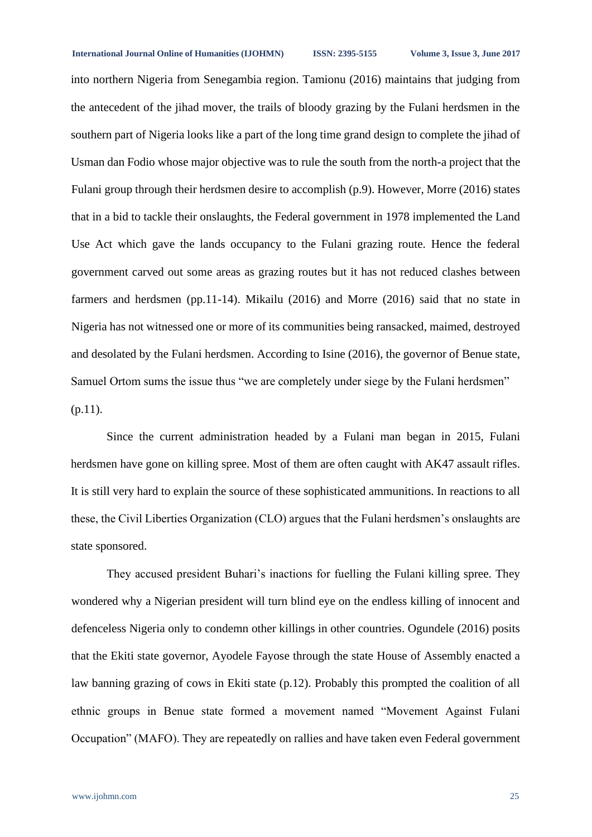**International Journal Online of Humanities (IJOHMN) ISSN: 2395-5155 Volume 3, Issue 3, June 2017**

into northern Nigeria from Senegambia region. Tamionu (2016) maintains that judging from the antecedent of the jihad mover, the trails of bloody grazing by the Fulani herdsmen in the southern part of Nigeria looks like a part of the long time grand design to complete the jihad of Usman dan Fodio whose major objective was to rule the south from the north-a project that the Fulani group through their herdsmen desire to accomplish (p.9). However, Morre (2016) states that in a bid to tackle their onslaughts, the Federal government in 1978 implemented the Land Use Act which gave the lands occupancy to the Fulani grazing route. Hence the federal government carved out some areas as grazing routes but it has not reduced clashes between farmers and herdsmen (pp.11-14). Mikailu (2016) and Morre (2016) said that no state in Nigeria has not witnessed one or more of its communities being ransacked, maimed, destroyed and desolated by the Fulani herdsmen. According to Isine (2016), the governor of Benue state, Samuel Ortom sums the issue thus "we are completely under siege by the Fulani herdsmen"  $(p.11)$ .

Since the current administration headed by a Fulani man began in 2015, Fulani herdsmen have gone on killing spree. Most of them are often caught with AK47 assault rifles. It is still very hard to explain the source of these sophisticated ammunitions. In reactions to all these, the Civil Liberties Organization (CLO) argues that the Fulani herdsmen's onslaughts are state sponsored.

They accused president Buhari's inactions for fuelling the Fulani killing spree. They wondered why a Nigerian president will turn blind eye on the endless killing of innocent and defenceless Nigeria only to condemn other killings in other countries. Ogundele (2016) posits that the Ekiti state governor, Ayodele Fayose through the state House of Assembly enacted a law banning grazing of cows in Ekiti state (p.12). Probably this prompted the coalition of all ethnic groups in Benue state formed a movement named "Movement Against Fulani Occupation" (MAFO). They are repeatedly on rallies and have taken even Federal government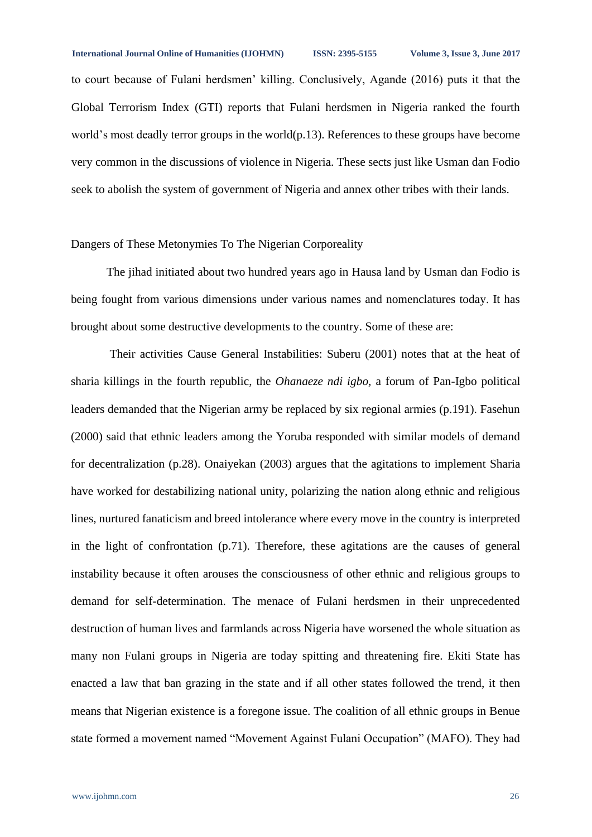to court because of Fulani herdsmen' killing. Conclusively, Agande (2016) puts it that the Global Terrorism Index (GTI) reports that Fulani herdsmen in Nigeria ranked the fourth world's most deadly terror groups in the world(p.13). References to these groups have become very common in the discussions of violence in Nigeria. These sects just like Usman dan Fodio seek to abolish the system of government of Nigeria and annex other tribes with their lands.

## Dangers of These Metonymies To The Nigerian Corporeality

The jihad initiated about two hundred years ago in Hausa land by Usman dan Fodio is being fought from various dimensions under various names and nomenclatures today. It has brought about some destructive developments to the country. Some of these are:

Their activities Cause General Instabilities: Suberu (2001) notes that at the heat of sharia killings in the fourth republic, the *Ohanaeze ndi igbo,* a forum of Pan-Igbo political leaders demanded that the Nigerian army be replaced by six regional armies (p.191). Fasehun (2000) said that ethnic leaders among the Yoruba responded with similar models of demand for decentralization (p.28). Onaiyekan (2003) argues that the agitations to implement Sharia have worked for destabilizing national unity, polarizing the nation along ethnic and religious lines, nurtured fanaticism and breed intolerance where every move in the country is interpreted in the light of confrontation (p.71). Therefore, these agitations are the causes of general instability because it often arouses the consciousness of other ethnic and religious groups to demand for self-determination. The menace of Fulani herdsmen in their unprecedented destruction of human lives and farmlands across Nigeria have worsened the whole situation as many non Fulani groups in Nigeria are today spitting and threatening fire. Ekiti State has enacted a law that ban grazing in the state and if all other states followed the trend, it then means that Nigerian existence is a foregone issue. The coalition of all ethnic groups in Benue state formed a movement named "Movement Against Fulani Occupation" (MAFO). They had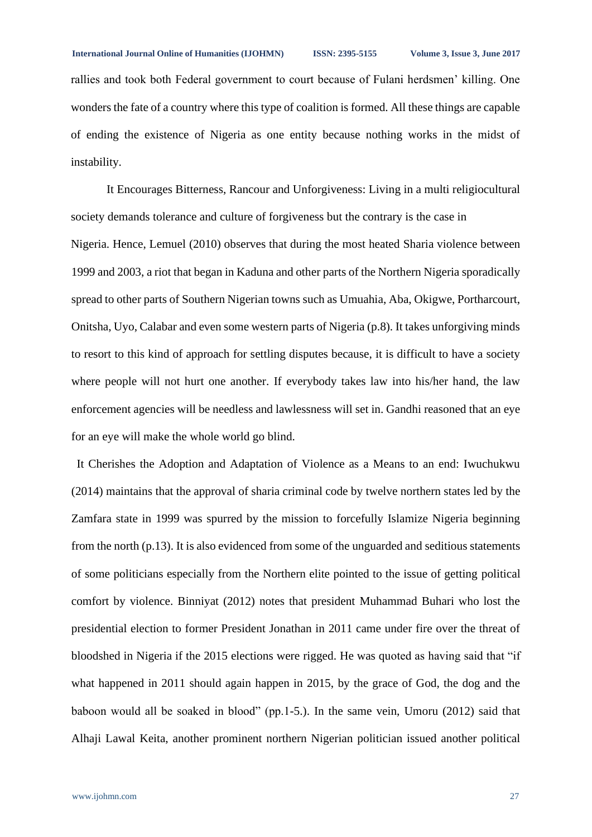rallies and took both Federal government to court because of Fulani herdsmen' killing. One wonders the fate of a country where this type of coalition is formed. All these things are capable of ending the existence of Nigeria as one entity because nothing works in the midst of instability.

It Encourages Bitterness, Rancour and Unforgiveness: Living in a multi religiocultural society demands tolerance and culture of forgiveness but the contrary is the case in Nigeria. Hence, Lemuel (2010) observes that during the most heated Sharia violence between 1999 and 2003, a riot that began in Kaduna and other parts of the Northern Nigeria sporadically spread to other parts of Southern Nigerian towns such as Umuahia, Aba, Okigwe, Portharcourt, Onitsha, Uyo, Calabar and even some western parts of Nigeria (p.8). It takes unforgiving minds to resort to this kind of approach for settling disputes because, it is difficult to have a society where people will not hurt one another. If everybody takes law into his/her hand, the law enforcement agencies will be needless and lawlessness will set in. Gandhi reasoned that an eye for an eye will make the whole world go blind.

 It Cherishes the Adoption and Adaptation of Violence as a Means to an end: Iwuchukwu (2014) maintains that the approval of sharia criminal code by twelve northern states led by the Zamfara state in 1999 was spurred by the mission to forcefully Islamize Nigeria beginning from the north (p.13). It is also evidenced from some of the unguarded and seditious statements of some politicians especially from the Northern elite pointed to the issue of getting political comfort by violence. Binniyat (2012) notes that president Muhammad Buhari who lost the presidential election to former President Jonathan in 2011 came under fire over the threat of bloodshed in Nigeria if the 2015 elections were rigged. He was quoted as having said that "if what happened in 2011 should again happen in 2015, by the grace of God, the dog and the baboon would all be soaked in blood" (pp.1-5.). In the same vein, Umoru (2012) said that Alhaji Lawal Keita, another prominent northern Nigerian politician issued another political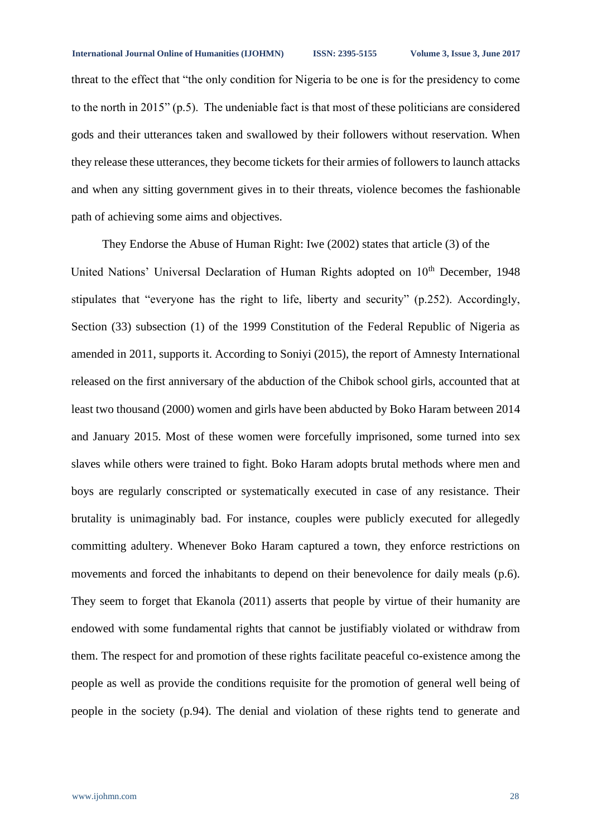threat to the effect that "the only condition for Nigeria to be one is for the presidency to come to the north in 2015" (p.5). The undeniable fact is that most of these politicians are considered gods and their utterances taken and swallowed by their followers without reservation. When they release these utterances, they become tickets for their armies of followers to launch attacks and when any sitting government gives in to their threats, violence becomes the fashionable path of achieving some aims and objectives.

They Endorse the Abuse of Human Right: Iwe (2002) states that article (3) of the United Nations' Universal Declaration of Human Rights adopted on 10<sup>th</sup> December, 1948 stipulates that "everyone has the right to life, liberty and security" (p.252). Accordingly, Section (33) subsection (1) of the 1999 Constitution of the Federal Republic of Nigeria as amended in 2011, supports it. According to Soniyi (2015), the report of Amnesty International released on the first anniversary of the abduction of the Chibok school girls, accounted that at least two thousand (2000) women and girls have been abducted by Boko Haram between 2014 and January 2015. Most of these women were forcefully imprisoned, some turned into sex slaves while others were trained to fight. Boko Haram adopts brutal methods where men and boys are regularly conscripted or systematically executed in case of any resistance. Their brutality is unimaginably bad. For instance, couples were publicly executed for allegedly committing adultery. Whenever Boko Haram captured a town, they enforce restrictions on movements and forced the inhabitants to depend on their benevolence for daily meals (p.6). They seem to forget that Ekanola (2011) asserts that people by virtue of their humanity are endowed with some fundamental rights that cannot be justifiably violated or withdraw from them. The respect for and promotion of these rights facilitate peaceful co-existence among the people as well as provide the conditions requisite for the promotion of general well being of people in the society (p.94). The denial and violation of these rights tend to generate and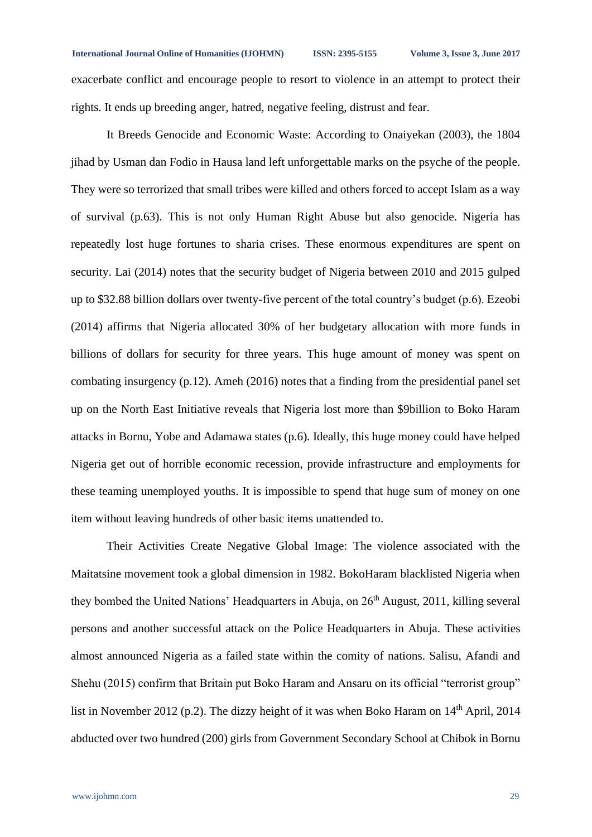exacerbate conflict and encourage people to resort to violence in an attempt to protect their rights. It ends up breeding anger, hatred, negative feeling, distrust and fear.

It Breeds Genocide and Economic Waste: According to Onaiyekan (2003), the 1804 jihad by Usman dan Fodio in Hausa land left unforgettable marks on the psyche of the people. They were so terrorized that small tribes were killed and others forced to accept Islam as a way of survival (p.63). This is not only Human Right Abuse but also genocide. Nigeria has repeatedly lost huge fortunes to sharia crises. These enormous expenditures are spent on security. Lai (2014) notes that the security budget of Nigeria between 2010 and 2015 gulped up to \$32.88 billion dollars over twenty-five percent of the total country's budget (p.6). Ezeobi (2014) affirms that Nigeria allocated 30% of her budgetary allocation with more funds in billions of dollars for security for three years. This huge amount of money was spent on combating insurgency (p.12). Ameh (2016) notes that a finding from the presidential panel set up on the North East Initiative reveals that Nigeria lost more than \$9billion to Boko Haram attacks in Bornu, Yobe and Adamawa states (p.6). Ideally, this huge money could have helped Nigeria get out of horrible economic recession, provide infrastructure and employments for these teaming unemployed youths. It is impossible to spend that huge sum of money on one item without leaving hundreds of other basic items unattended to.

Their Activities Create Negative Global Image: The violence associated with the Maitatsine movement took a global dimension in 1982. BokoHaram blacklisted Nigeria when they bombed the United Nations' Headquarters in Abuja, on 26<sup>th</sup> August, 2011, killing several persons and another successful attack on the Police Headquarters in Abuja. These activities almost announced Nigeria as a failed state within the comity of nations. Salisu, Afandi and Shehu (2015) confirm that Britain put Boko Haram and Ansaru on its official "terrorist group" list in November 2012 (p.2). The dizzy height of it was when Boko Haram on 14<sup>th</sup> April, 2014 abducted over two hundred (200) girls from Government Secondary School at Chibok in Bornu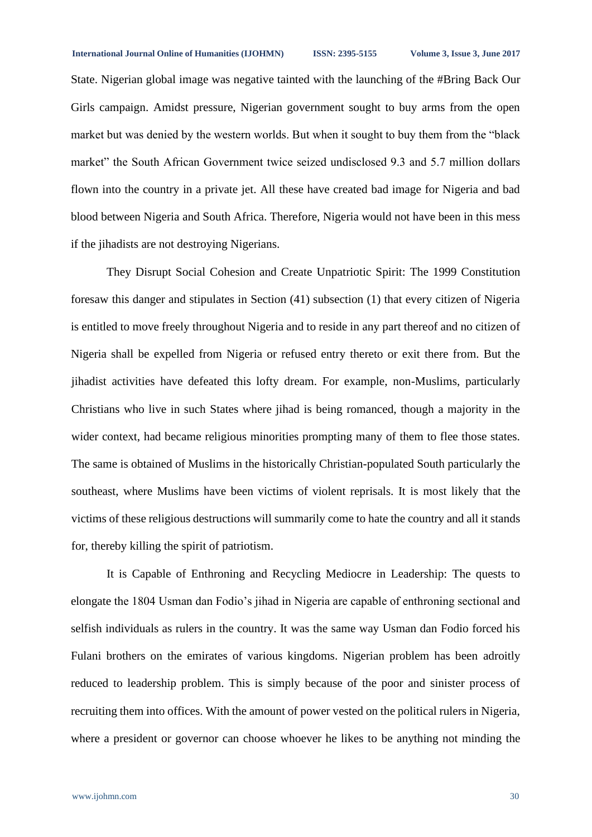State. Nigerian global image was negative tainted with the launching of the #Bring Back Our Girls campaign. Amidst pressure, Nigerian government sought to buy arms from the open market but was denied by the western worlds. But when it sought to buy them from the "black market" the South African Government twice seized undisclosed 9.3 and 5.7 million dollars flown into the country in a private jet. All these have created bad image for Nigeria and bad blood between Nigeria and South Africa. Therefore, Nigeria would not have been in this mess if the jihadists are not destroying Nigerians.

They Disrupt Social Cohesion and Create Unpatriotic Spirit: The 1999 Constitution foresaw this danger and stipulates in Section (41) subsection (1) that every citizen of Nigeria is entitled to move freely throughout Nigeria and to reside in any part thereof and no citizen of Nigeria shall be expelled from Nigeria or refused entry thereto or exit there from. But the jihadist activities have defeated this lofty dream. For example, non-Muslims, particularly Christians who live in such States where jihad is being romanced, though a majority in the wider context, had became religious minorities prompting many of them to flee those states. The same is obtained of Muslims in the historically Christian-populated South particularly the southeast, where Muslims have been victims of violent reprisals. It is most likely that the victims of these religious destructions will summarily come to hate the country and all it stands for, thereby killing the spirit of patriotism.

It is Capable of Enthroning and Recycling Mediocre in Leadership: The quests to elongate the 1804 Usman dan Fodio's jihad in Nigeria are capable of enthroning sectional and selfish individuals as rulers in the country. It was the same way Usman dan Fodio forced his Fulani brothers on the emirates of various kingdoms. Nigerian problem has been adroitly reduced to leadership problem. This is simply because of the poor and sinister process of recruiting them into offices. With the amount of power vested on the political rulers in Nigeria, where a president or governor can choose whoever he likes to be anything not minding the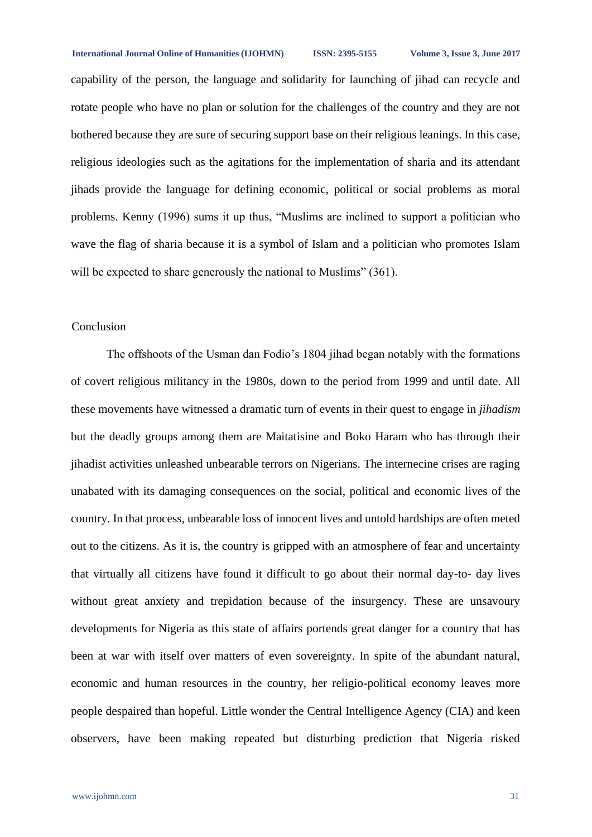#### **International Journal Online of Humanities (IJOHMN) ISSN: 2395-5155 Volume 3, Issue 3, June 2017**

capability of the person, the language and solidarity for launching of jihad can recycle and rotate people who have no plan or solution for the challenges of the country and they are not bothered because they are sure of securing support base on their religious leanings. In this case, religious ideologies such as the agitations for the implementation of sharia and its attendant jihads provide the language for defining economic, political or social problems as moral problems. Kenny (1996) sums it up thus, "Muslims are inclined to support a politician who wave the flag of sharia because it is a symbol of Islam and a politician who promotes Islam will be expected to share generously the national to Muslims" (361).

# Conclusion

The offshoots of the Usman dan Fodio's 1804 jihad began notably with the formations of covert religious militancy in the 1980s, down to the period from 1999 and until date. All these movements have witnessed a dramatic turn of events in their quest to engage in *jihadism* but the deadly groups among them are Maitatisine and Boko Haram who has through their jihadist activities unleashed unbearable terrors on Nigerians. The internecine crises are raging unabated with its damaging consequences on the social, political and economic lives of the country. In that process, unbearable loss of innocent lives and untold hardships are often meted out to the citizens. As it is, the country is gripped with an atmosphere of fear and uncertainty that virtually all citizens have found it difficult to go about their normal day-to- day lives without great anxiety and trepidation because of the insurgency. These are unsavoury developments for Nigeria as this state of affairs portends great danger for a country that has been at war with itself over matters of even sovereignty. In spite of the abundant natural, economic and human resources in the country, her religio-political economy leaves more people despaired than hopeful. Little wonder the Central Intelligence Agency (CIA) and keen observers, have been making repeated but disturbing prediction that Nigeria risked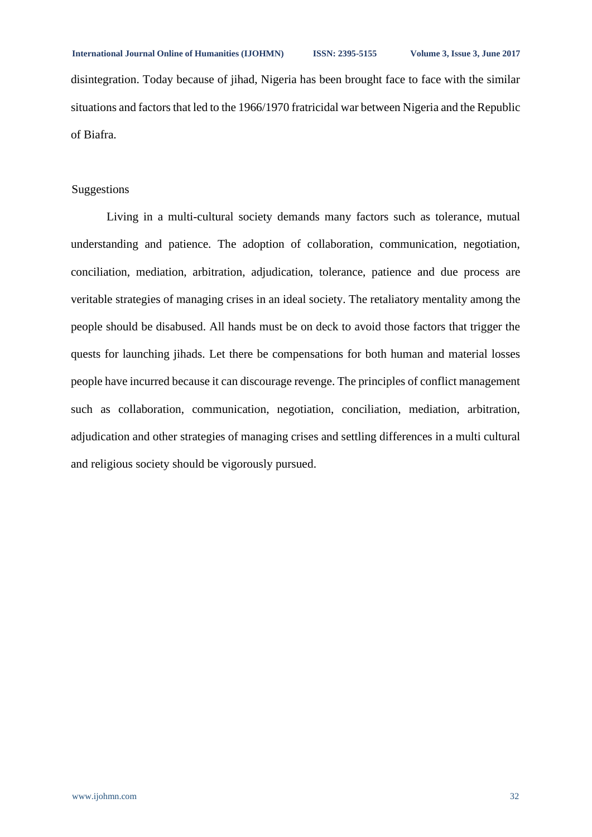disintegration. Today because of jihad, Nigeria has been brought face to face with the similar situations and factors that led to the 1966/1970 fratricidal war between Nigeria and the Republic of Biafra.

## Suggestions

Living in a multi-cultural society demands many factors such as tolerance, mutual understanding and patience. The adoption of collaboration, communication, negotiation, conciliation, mediation, arbitration, adjudication, tolerance, patience and due process are veritable strategies of managing crises in an ideal society. The retaliatory mentality among the people should be disabused. All hands must be on deck to avoid those factors that trigger the quests for launching jihads. Let there be compensations for both human and material losses people have incurred because it can discourage revenge. The principles of conflict management such as collaboration, communication, negotiation, conciliation, mediation, arbitration, adjudication and other strategies of managing crises and settling differences in a multi cultural and religious society should be vigorously pursued.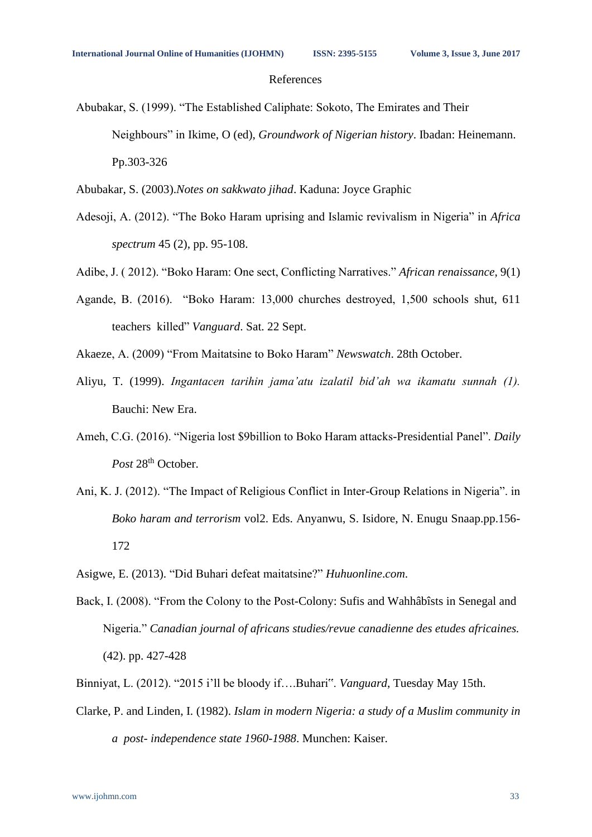### References

Abubakar, S. (1999). "The Established Caliphate: Sokoto, The Emirates and Their Neighbours" in Ikime, O (ed), *Groundwork of Nigerian history*. Ibadan: Heinemann. Pp.303-326

Abubakar, S. (2003).*Notes on sakkwato jihad*. Kaduna: Joyce Graphic

- Adesoji, A. (2012). "The Boko Haram uprising and Islamic revivalism in Nigeria" in *Africa spectrum* 45 (2), pp. 95-108.
- Adibe, J. ( 2012). "Boko Haram: One sect, Conflicting Narratives." *African renaissance*, 9(1)
- Agande, B. (2016). "Boko Haram: 13,000 churches destroyed, 1,500 schools shut, 611 teachers killed" *Vanguard*. Sat. 22 Sept.
- Akaeze, A. (2009) "From Maitatsine to Boko Haram" *Newswatch*. 28th October.
- Aliyu, T. (1999). *Ingantacen tarihin jama'atu izalatil bid'ah wa ikamatu sunnah (1).*  Bauchi: New Era.
- Ameh, C.G. (2016). "Nigeria lost \$9billion to Boko Haram attacks-Presidential Panel". *Daily* Post 28<sup>th</sup> October.
- Ani, K. J. (2012). "The Impact of Religious Conflict in Inter-Group Relations in Nigeria". in *Boko haram and terrorism* vol2. Eds. Anyanwu, S. Isidore, N. Enugu Snaap.pp.156- 172
- Asigwe, E. (2013). "Did Buhari defeat maitatsine?" *Huhuonline*.*com*.
- Back, I. (2008). "From the Colony to the Post-Colony: Sufis and Wahhâbîsts in Senegal and Nigeria." *Canadian journal of africans studies/revue canadienne des etudes africaines.* (42). pp. 427-428
- Binniyat, L. (2012). "2015 i'll be bloody if….Buhari". *Vanguard*, Tuesday May 15th.
- Clarke, P. and Linden, I. (1982). *Islam in modern Nigeria: a study of a Muslim community in a post- independence state 1960-1988*. Munchen: Kaiser.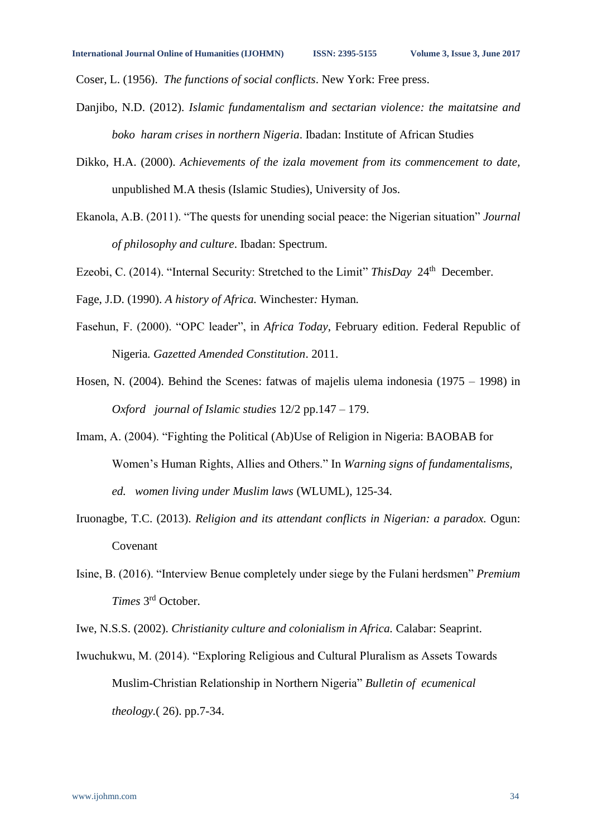Coser, L. (1956). *The functions of social conflicts*. New York: Free press.

- Danjibo, N.D. (2012). *Islamic fundamentalism and sectarian violence: the maitatsine and boko haram crises in northern Nigeria*. Ibadan: Institute of African Studies
- Dikko, H.A. (2000). *Achievements of the izala movement from its commencement to date,* unpublished M.A thesis (Islamic Studies), University of Jos.
- Ekanola, A.B. (2011). "The quests for unending social peace: the Nigerian situation" *Journal of philosophy and culture*. Ibadan: Spectrum.
- Ezeobi, C. (2014). "Internal Security: Stretched to the Limit" *ThisDay* 24<sup>th</sup> December.
- Fage, J.D. (1990). *A history of Africa.* Winchester*:* Hyman*.*
- Fasehun, F. (2000). "OPC leader", in *Africa Today*, February edition. Federal Republic of Nigeria*. Gazetted Amended Constitution*. 2011.
- Hosen, N. (2004). Behind the Scenes: fatwas of majelis ulema indonesia (1975 1998) in *Oxford journal of Islamic studies* 12/2 pp.147 – 179.
- Imam, A. (2004). "Fighting the Political (Ab)Use of Religion in Nigeria: BAOBAB for Women's Human Rights, Allies and Others." In *Warning signs of fundamentalisms, ed. women living under Muslim laws* (WLUML), 125-34.
- Iruonagbe*,* T.C. (2013). *Religion and its attendant conflicts in Nigerian: a paradox.* Ogun: Covenant
- Isine, B. (2016). "Interview Benue completely under siege by the Fulani herdsmen" *Premium Times* 3 rd October.
- Iwe, N.S.S. (2002). *Christianity culture and colonialism in Africa.* Calabar: Seaprint.
- Iwuchukwu, M. (2014). "Exploring Religious and Cultural Pluralism as Assets Towards Muslim-Christian Relationship in Northern Nigeria" *Bulletin of ecumenical theology.*( 26). pp.7-34.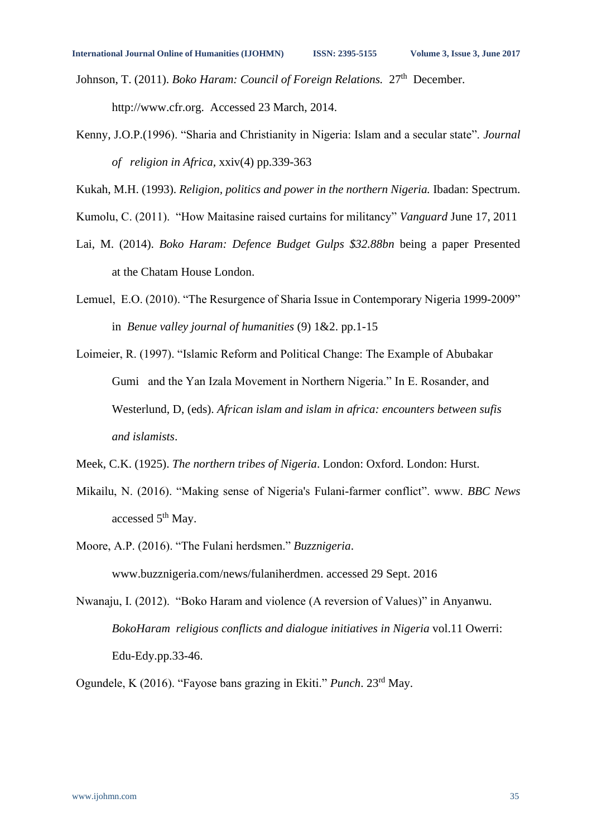Johnson, T. (2011). *Boko Haram: Council of Foreign Relations.* 27<sup>th</sup> December. http://www.cfr.org. Accessed 23 March, 2014.

Kenny, J.O.P.(1996). "Sharia and Christianity in Nigeria: Islam and a secular state". *Journal of religion in Africa,* xxiv(4) pp.339-363

Kukah, M.H. (1993). *Religion, politics and power in the northern Nigeria.* Ibadan: Spectrum.

- Kumolu, C. (2011). "How Maitasine raised curtains for militancy" *Vanguard* June 17, 2011
- Lai, M. (2014). *Boko Haram: Defence Budget Gulps \$32.88bn* being a paper Presented at the Chatam House London.
- Lemuel, E.O. (2010). "The Resurgence of Sharia Issue in Contemporary Nigeria 1999-2009" in *Benue valley journal of humanities* (9) 1&2. pp.1-15
- Loimeier, R. (1997). "Islamic Reform and Political Change: The Example of Abubakar Gumi and the Yan Izala Movement in Northern Nigeria." In E. Rosander, and Westerlund, D, (eds). *African islam and islam in africa: encounters between sufis and islamists*.
- Meek, C.K. (1925). *The northern tribes of Nigeria*. London: Oxford. London: Hurst.
- Mikailu, N. (2016). "Making sense of Nigeria's Fulani-farmer conflict". www. *BBC News*  accessed 5<sup>th</sup> May.
- Moore, A.P. (2016). "The Fulani herdsmen." *Buzznigeria*. [www.buzznigeria.com/news/fulaniherdmen. accessed 29 Sept. 2016](http://www.buzznigeria.com/news/fulaniherdmen.%20accessed%2029%20Sept.%202016)
- Nwanaju, I. (2012). "Boko Haram and violence (A reversion of Values)" in Anyanwu. *BokoHaram religious conflicts and dialogue initiatives in Nigeria* vol.11 Owerri: Edu-Edy.pp.33-46.

Ogundele, K (2016). "Fayose bans grazing in Ekiti." *Punch*. 23rd May.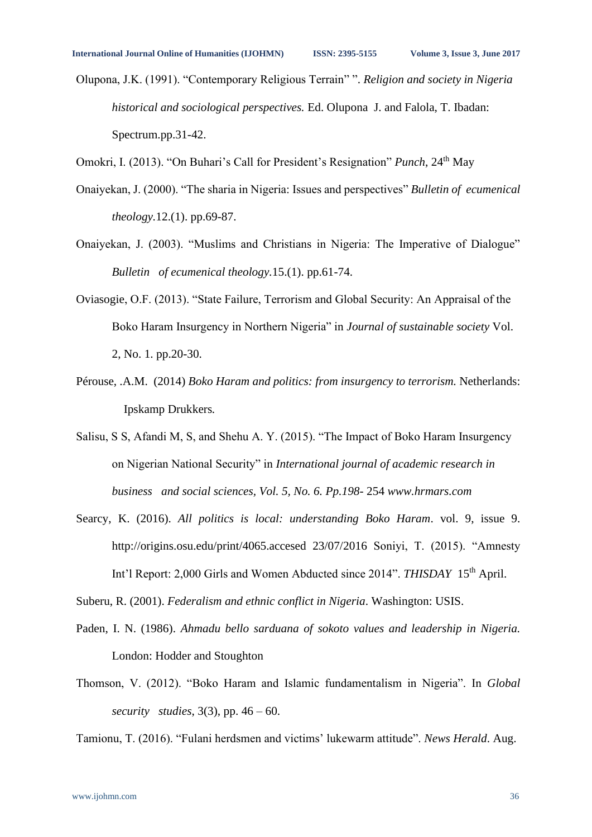Olupona, J.K. (1991). "Contemporary Religious Terrain" ". *Religion and society in Nigeria historical and sociological perspectives.* Ed. Olupona J. and Falola, T. Ibadan: Spectrum.pp.31-42.

Omokri, I. (2013). "On Buhari's Call for President's Resignation" *Punch*, 24<sup>th</sup> May

- Onaiyekan, J. (2000). "The sharia in Nigeria: Issues and perspectives" *Bulletin of ecumenical theology.*12.(1). pp.69-87.
- Onaiyekan, J. (2003). "Muslims and Christians in Nigeria: The Imperative of Dialogue" *Bulletin of ecumenical theology.*15.(1). pp.61-74.
- Oviasogie, O.F. (2013). "State Failure, Terrorism and Global Security: An Appraisal of the Boko Haram Insurgency in Northern Nigeria" in *Journal of sustainable society* Vol. 2, No. 1. pp.20-30.
- Pérouse, .A.M. (2014) *Boko Haram and politics: from insurgency to terrorism.* Netherlands: Ipskamp Drukkers*.*
- Salisu, S S, Afandi M, S, and Shehu A. Y. (2015). "The Impact of Boko Haram Insurgency on Nigerian National Security" in *International journal of academic research in business and social sciences, Vol. 5, No. 6. Pp.198-* 254 *[www.hrmars.com](http://www.hrmars.com/)*
- Searcy, K. (2016). *All politics is local: understanding Boko Haram*. vol. 9, issue 9. [http://origins.osu.edu/print/4065.accesed 23/07/2016](http://origins.osu.edu/print/4065.accesed%2023/07/2016) Soniyi, T. (2015). "Amnesty Int'l Report: 2,000 Girls and Women Abducted since 2014". *THISDAY* 15th April.

Suberu, R. (2001). *Federalism and ethnic conflict in Nigeria*. Washington: USIS.

- Paden, I. N. (1986). *Ahmadu bello sarduana of sokoto values and leadership in Nigeria.*  London: Hodder and Stoughton
- Thomson, V. (2012). "Boko Haram and Islamic fundamentalism in Nigeria". In *Global security studies*, 3(3), pp. 46 – 60.

Tamionu, T. (2016). "Fulani herdsmen and victims' lukewarm attitude". *News Herald*. Aug.